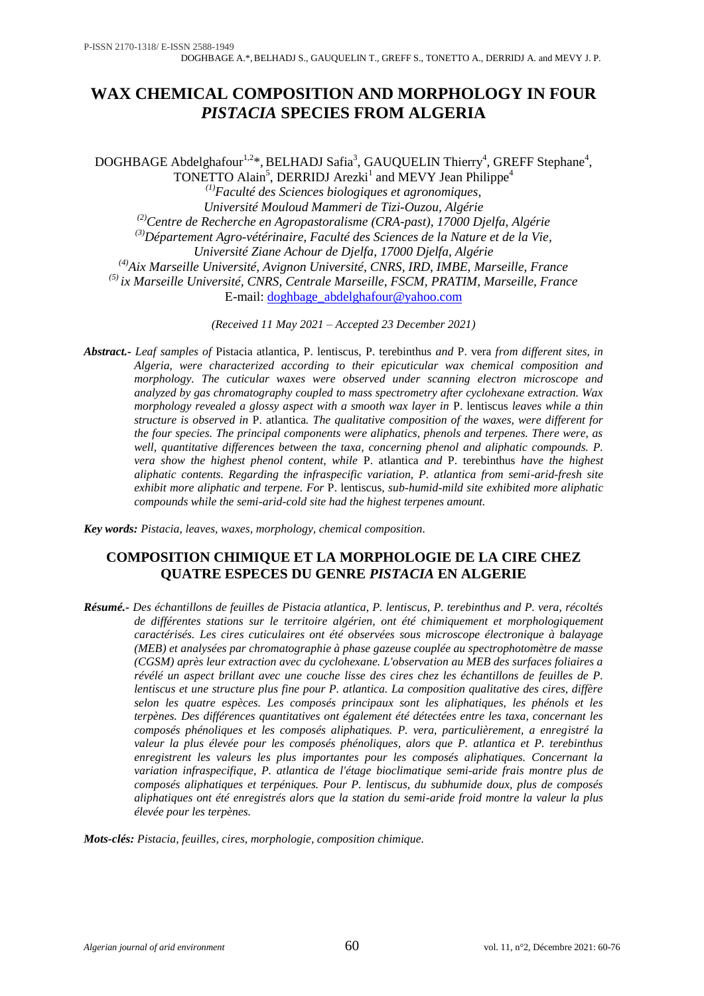# **WAX CHEMICAL COMPOSITION AND MORPHOLOGY IN FOUR**  *PISTACIA* **SPECIES FROM ALGERIA**

DOGHBAGE Abdelghafour<sup>1,2\*</sup>, BELHADJ Safia<sup>3</sup>, GAUQUELIN Thierry<sup>4</sup>, GREFF Stephane<sup>4</sup>, TONETTO Alain<sup>5</sup>, DERRIDJ Arezki<sup>1</sup> and MEVY Jean Philippe<sup>4</sup> *(1)Faculté des Sciences biologiques et agronomiques, Université Mouloud Mammeri de Tizi-Ouzou, Algérie (2)Centre de Recherche en Agropastoralisme (CRA-past), 17000 Djelfa, Algérie (3)Département Agro-vétérinaire, Faculté des Sciences de la Nature et de la Vie, Université Ziane Achour de Djelfa, 17000 Djelfa, Algérie (4)Aix Marseille Université, Avignon Université, CNRS, IRD, IMBE, Marseille, France (5) ix Marseille Université, CNRS, Centrale Marseille, FSCM, PRATIM, Marseille, France* E-mail: [doghbage\\_abdelghafour@yahoo.com](mailto:doghbage_abdelghafour@yahoo.com)

*(Received 11 May 2021 – Accepted 23 December 2021)*

*Abstract.- Leaf samples of* Pistacia atlantica, P. lentiscus, P. terebinthus *and* P. vera *from different sites, in Algeria, were characterized according to their epicuticular wax chemical composition and morphology. The cuticular waxes were observed under scanning electron microscope and analyzed by gas chromatography coupled to mass spectrometry after cyclohexane extraction. Wax morphology revealed a glossy aspect with a smooth wax layer in* P. lentiscus *leaves while a thin structure is observed in* P. atlantica*. The qualitative composition of the waxes, were different for the four species. The principal components were aliphatics, phenols and terpenes. There were, as*  well, quantitative differences between the taxa, concerning phenol and aliphatic compounds. P. *vera show the highest phenol content, while* P. atlantica *and* P. terebinthus *have the highest aliphatic contents. Regarding the infraspecific variation, P. atlantica from semi-arid-fresh site exhibit more aliphatic and terpene. For* P. lentiscus*, sub-humid-mild site exhibited more aliphatic compounds while the semi-arid-cold site had the highest terpenes amount.* 

*Key words: Pistacia, leaves, waxes, morphology, chemical composition.* 

# **COMPOSITION CHIMIQUE ET LA MORPHOLOGIE DE LA CIRE CHEZ QUATRE ESPECES DU GENRE** *PISTACIA* **EN ALGERIE**

*Résumé.- Des échantillons de feuilles de Pistacia atlantica, P. lentiscus, P. terebinthus and P. vera, récoltés de différentes stations sur le territoire algérien, ont été chimiquement et morphologiquement caractérisés. Les cires cuticulaires ont été observées sous microscope électronique à balayage (MEB) et analysées par chromatographie à phase gazeuse couplée au spectrophotomètre de masse (CGSM) après leur extraction avec du cyclohexane. L'observation au MEB des surfaces foliaires a révélé un aspect brillant avec une couche lisse des cires chez les échantillons de feuilles de P. lentiscus et une structure plus fine pour P. atlantica. La composition qualitative des cires, diffère selon les quatre espèces. Les composés principaux sont les aliphatiques, les phénols et les terpènes. Des différences quantitatives ont également été détectées entre les taxa, concernant les composés phénoliques et les composés aliphatiques. P. vera, particulièrement, a enregistré la valeur la plus élevée pour les composés phénoliques, alors que P. atlantica et P. terebinthus enregistrent les valeurs les plus importantes pour les composés aliphatiques. Concernant la variation infraspecifique, P. atlantica de l'étage bioclimatique semi-aride frais montre plus de composés aliphatiques et terpéniques. Pour P. lentiscus, du subhumide doux, plus de composés aliphatiques ont été enregistrés alors que la station du semi-aride froid montre la valeur la plus élevée pour les terpènes.* 

*Mots-clés: Pistacia, feuilles, cires, morphologie, composition chimique.*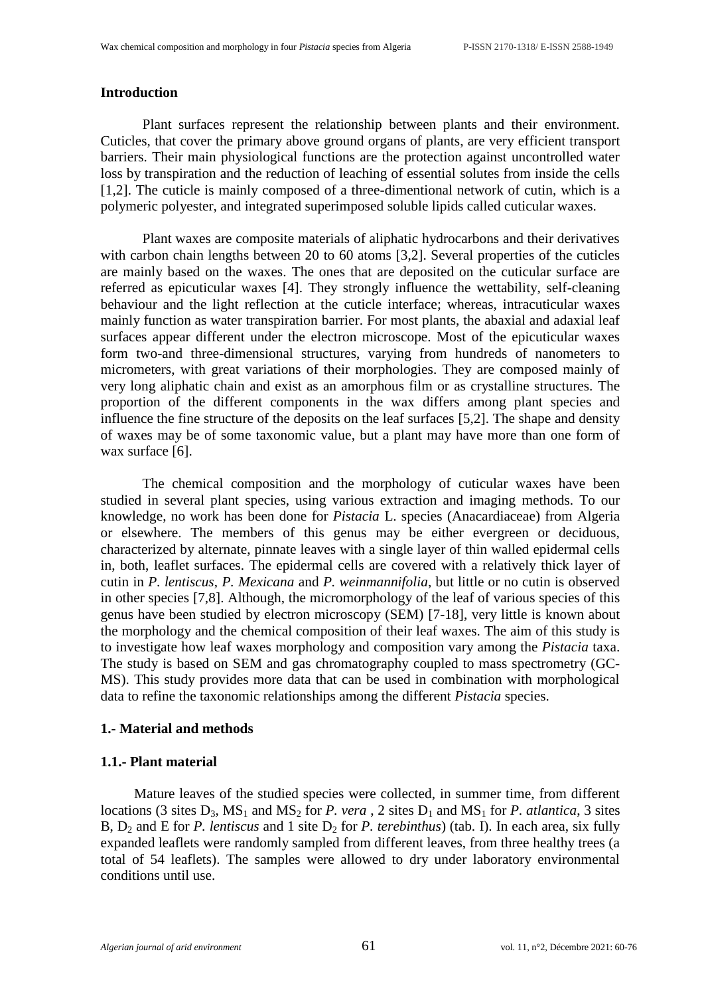#### **Introduction**

Plant surfaces represent the relationship between plants and their environment. Cuticles, that cover the primary above ground organs of plants, are very efficient transport barriers. Their main physiological functions are the protection against uncontrolled water loss by transpiration and the reduction of leaching of essential solutes from inside the cells [1,2]. The cuticle is mainly composed of a three-dimentional network of cutin, which is a polymeric polyester, and integrated superimposed soluble lipids called cuticular waxes.

Plant waxes are composite materials of aliphatic hydrocarbons and their derivatives with carbon chain lengths between 20 to 60 atoms [3,2]. Several properties of the cuticles are mainly based on the waxes. The ones that are deposited on the cuticular surface are referred as epicuticular waxes [4]. They strongly influence the wettability, self-cleaning behaviour and the light reflection at the cuticle interface; whereas, intracuticular waxes mainly function as water transpiration barrier. For most plants, the abaxial and adaxial leaf surfaces appear different under the electron microscope. Most of the epicuticular waxes form two-and three-dimensional structures, varying from hundreds of nanometers to micrometers, with great variations of their morphologies. They are composed mainly of very long aliphatic chain and exist as an amorphous film or as crystalline structures. The proportion of the different components in the wax differs among plant species and influence the fine structure of the deposits on the leaf surfaces [5,2]. The shape and density of waxes may be of some taxonomic value, but a plant may have more than one form of wax surface [6].

The chemical composition and the morphology of cuticular waxes have been studied in several plant species, using various extraction and imaging methods. To our knowledge, no work has been done for *Pistacia* L. species (Anacardiaceae) from Algeria or elsewhere. The members of this genus may be either evergreen or deciduous, characterized by alternate, pinnate leaves with a single layer of thin walled epidermal cells in, both, leaflet surfaces. The epidermal cells are covered with a relatively thick layer of cutin in *P. lentiscus*, *P. Mexicana* and *P. weinmannifolia*, but little or no cutin is observed in other species [7,8]. Although, the micromorphology of the leaf of various species of this genus have been studied by electron microscopy (SEM) [7-18], very little is known about the morphology and the chemical composition of their leaf waxes. The aim of this study is to investigate how leaf waxes morphology and composition vary among the *Pistacia* taxa. The study is based on SEM and gas chromatography coupled to mass spectrometry (GC-MS). This study provides more data that can be used in combination with morphological data to refine the taxonomic relationships among the different *Pistacia* species.

#### **1.- Material and methods**

#### **1.1.- Plant material**

Mature leaves of the studied species were collected, in summer time, from different locations (3 sites  $D_3$ ,  $MS_1$  and  $MS_2$  for *P. vera*, 2 sites  $D_1$  and  $MS_1$  for *P. atlantica*, 3 sites B,  $D_2$  and E for *P. lentiscus* and 1 site  $D_2$  for *P. terebinthus*) (tab. I). In each area, six fully expanded leaflets were randomly sampled from different leaves, from three healthy trees (a total of 54 leaflets). The samples were allowed to dry under laboratory environmental conditions until use.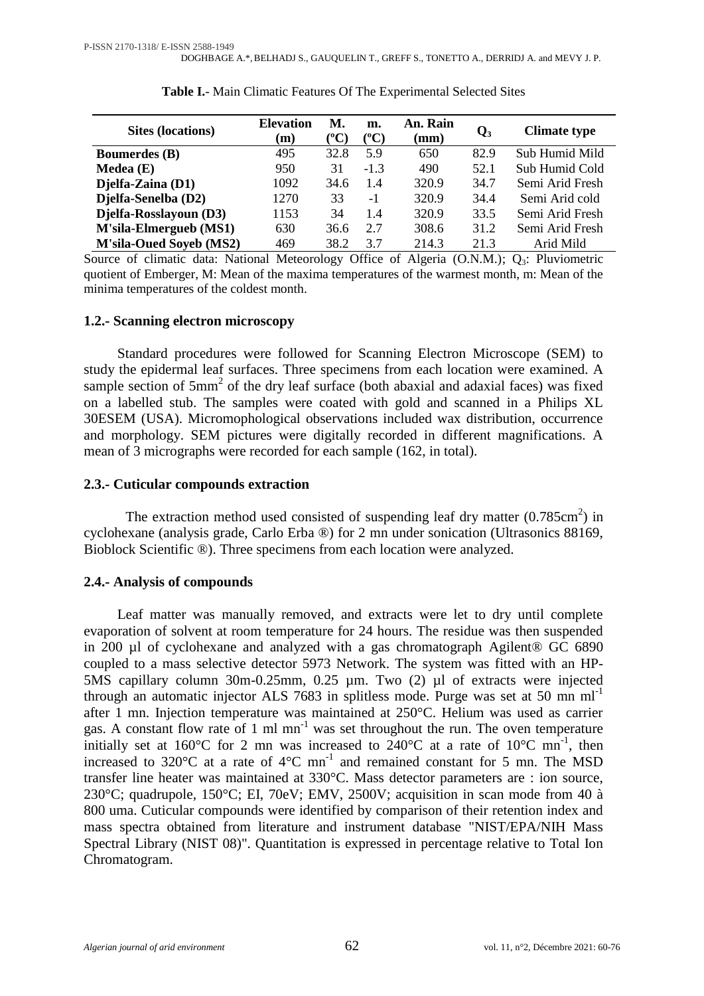| <b>Sites (locations)</b>       | <b>Elevation</b><br>(m) | М.<br>(°C) | m.<br>(°C) | An. Rain<br>$\mathbf{m}\mathbf{m}$ | $\mathbf{Q}_3$ | <b>Climate type</b> |
|--------------------------------|-------------------------|------------|------------|------------------------------------|----------------|---------------------|
| <b>Boumerdes</b> (B)           | 495                     | 32.8       | 5.9        | 650                                | 82.9           | Sub Humid Mild      |
| Medea(E)                       | 950                     | 31         | $-1.3$     | 490                                | 52.1           | Sub Humid Cold      |
| Djelfa-Zaina (D1)              | 1092                    | 34.6       | 1.4        | 320.9                              | 34.7           | Semi Arid Fresh     |
| Djelfa-Senelba (D2)            | 1270                    | 33         | $-1$       | 320.9                              | 34.4           | Semi Arid cold      |
| Djelfa-Rosslayoun (D3)         | 1153                    | 34         | 1.4        | 320.9                              | 33.5           | Semi Arid Fresh     |
| M'sila-Elmergueb (MS1)         | 630                     | 36.6       | 2.7        | 308.6                              | 31.2           | Semi Arid Fresh     |
| <b>M'sila-Oued Soyeb (MS2)</b> | 469                     | 38.2       | 3.7        | 214.3                              | 21.3           | Arid Mild           |

# **Table I.**- Main Climatic Features Of The Experimental Selected Sites

Source of climatic data: National Meteorology Office of Algeria (O.N.M.);  $Q_3$ : Pluviometric quotient of Emberger, M: Mean of the maxima temperatures of the warmest month, m: Mean of the minima temperatures of the coldest month.

#### **1.2.- Scanning electron microscopy**

Standard procedures were followed for Scanning Electron Microscope (SEM) to study the epidermal leaf surfaces. Three specimens from each location were examined. A sample section of  $5mm^2$  of the dry leaf surface (both abaxial and adaxial faces) was fixed on a labelled stub. The samples were coated with gold and scanned in a Philips XL 30ESEM (USA). Micromophological observations included wax distribution, occurrence and morphology. SEM pictures were digitally recorded in different magnifications. A mean of 3 micrographs were recorded for each sample (162, in total).

#### **2.3.- Cuticular compounds extraction**

The extraction method used consisted of suspending leaf dry matter  $(0.785cm^2)$  in cyclohexane (analysis grade, Carlo Erba ®) for 2 mn under sonication (Ultrasonics 88169, Bioblock Scientific ®). Three specimens from each location were analyzed.

#### **2.4.- Analysis of compounds**

Leaf matter was manually removed, and extracts were let to dry until complete evaporation of solvent at room temperature for 24 hours. The residue was then suspended in 200 µl of cyclohexane and analyzed with a gas chromatograph Agilent® GC 6890 coupled to a mass selective detector 5973 Network. The system was fitted with an HP-5MS capillary column 30m-0.25mm, 0.25 µm. Two (2) µl of extracts were injected through an automatic injector ALS 7683 in splitless mode. Purge was set at 50 mn  $ml^{-1}$ after 1 mn. Injection temperature was maintained at 250°C. Helium was used as carrier gas. A constant flow rate of 1 ml mn<sup>-1</sup> was set throughout the run. The oven temperature initially set at 160°C for 2 mn was increased to  $240^{\circ}$ C at a rate of 10°C mn<sup>-1</sup>, then increased to 320 $\rm ^{o}C$  at a rate of 4 $\rm ^{o}C$  mn<sup>-1</sup> and remained constant for 5 mn. The MSD transfer line heater was maintained at 330°C. Mass detector parameters are : ion source, 230°C; quadrupole, 150°C; EI, 70eV; EMV, 2500V; acquisition in scan mode from 40 à 800 uma. Cuticular compounds were identified by comparison of their retention index and mass spectra obtained from literature and instrument database "NIST/EPA/NIH Mass Spectral Library (NIST 08)". Quantitation is expressed in percentage relative to Total Ion Chromatogram.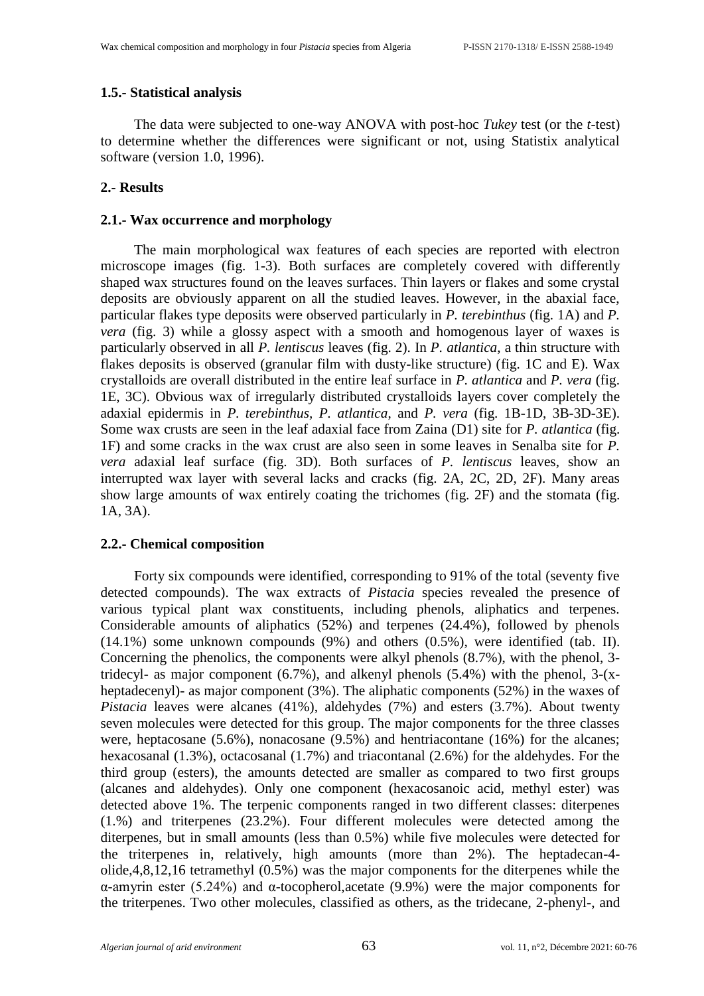# **1.5.- Statistical analysis**

The data were subjected to one-way ANOVA with post-hoc *Tukey* test (or the *t-*test) to determine whether the differences were significant or not, using Statistix analytical software (version 1.0, 1996).

# **2.- Results**

# **2.1.- Wax occurrence and morphology**

The main morphological wax features of each species are reported with electron microscope images (fig. 1-3). Both surfaces are completely covered with differently shaped wax structures found on the leaves surfaces. Thin layers or flakes and some crystal deposits are obviously apparent on all the studied leaves. However, in the abaxial face, particular flakes type deposits were observed particularly in *P. terebinthus* (fig. 1A) and *P. vera* (fig. 3) while a glossy aspect with a smooth and homogenous layer of waxes is particularly observed in all *P. lentiscus* leaves (fig. 2). In *P. atlantica*, a thin structure with flakes deposits is observed (granular film with dusty-like structure) (fig. 1C and E). Wax crystalloids are overall distributed in the entire leaf surface in *P. atlantica* and *P. vera* (fig. 1E, 3C). Obvious wax of irregularly distributed crystalloids layers cover completely the adaxial epidermis in *P. terebinthus, P. atlantica*, and *P. vera* (fig. 1B-1D, 3B-3D-3E). Some wax crusts are seen in the leaf adaxial face from Zaina (D1) site for *P. atlantica* (fig. 1F) and some cracks in the wax crust are also seen in some leaves in Senalba site for *P. vera* adaxial leaf surface (fig. 3D). Both surfaces of *P. lentiscus* leaves*,* show an interrupted wax layer with several lacks and cracks (fig. 2A, 2C, 2D, 2F). Many areas show large amounts of wax entirely coating the trichomes (fig. 2F) and the stomata (fig. 1A, 3A).

#### **2.2.- Chemical composition**

Forty six compounds were identified, corresponding to 91% of the total (seventy five detected compounds). The wax extracts of *Pistacia* species revealed the presence of various typical plant wax constituents, including phenols, aliphatics and terpenes. Considerable amounts of aliphatics (52%) and terpenes (24.4%), followed by phenols (14.1%) some unknown compounds (9%) and others (0.5%), were identified (tab. II). Concerning the phenolics, the components were alkyl phenols (8.7%), with the phenol, 3 tridecyl- as major component (6.7%), and alkenyl phenols (5.4%) with the phenol, 3-(xheptadecenyl)- as major component (3%). The aliphatic components (52%) in the waxes of *Pistacia* leaves were alcanes (41%), aldehydes (7%) and esters (3.7%). About twenty seven molecules were detected for this group. The major components for the three classes were, heptacosane (5.6%), nonacosane (9.5%) and hentriacontane (16%) for the alcanes; hexacosanal (1.3%), octacosanal (1.7%) and triacontanal (2.6%) for the aldehydes. For the third group (esters), the amounts detected are smaller as compared to two first groups (alcanes and aldehydes). Only one component (hexacosanoic acid, methyl ester) was detected above 1%. The terpenic components ranged in two different classes: diterpenes (1.%) and triterpenes (23.2%). Four different molecules were detected among the diterpenes, but in small amounts (less than 0.5%) while five molecules were detected for the triterpenes in, relatively, high amounts (more than 2%). The heptadecan-4 olide,4,8,12,16 tetramethyl (0.5%) was the major components for the diterpenes while the α-amyrin ester (5.24%) and α-tocopherol,acetate (9.9%) were the major components for the triterpenes. Two other molecules, classified as others, as the tridecane, 2-phenyl-, and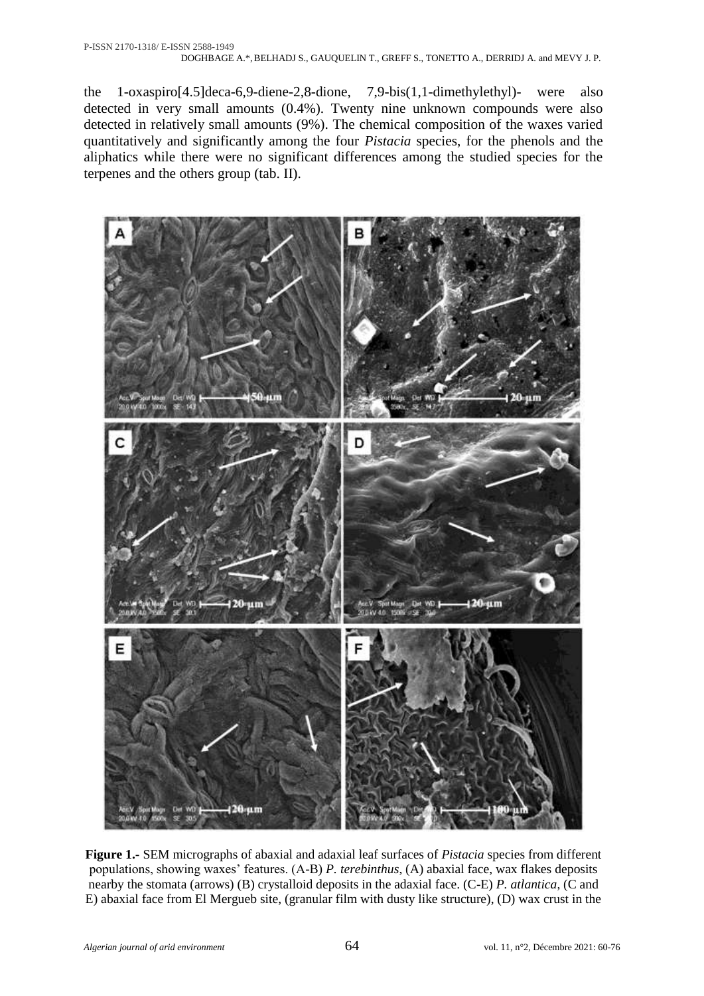the 1-oxaspiro[4.5]deca-6,9-diene-2,8-dione, 7,9-bis(1,1-dimethylethyl)- were also detected in very small amounts (0.4%). Twenty nine unknown compounds were also detected in relatively small amounts (9%). The chemical composition of the waxes varied quantitatively and significantly among the four *Pistacia* species, for the phenols and the aliphatics while there were no significant differences among the studied species for the terpenes and the others group (tab. II).



**Figure 1.-** SEM micrographs of abaxial and adaxial leaf surfaces of *Pistacia* species from different populations, showing waxes' features. (A-B) *P. terebinthus*, (A) abaxial face, wax flakes deposits nearby the stomata (arrows) (B) crystalloid deposits in the adaxial face. (C-E) *P. atlantica*, (C and E) abaxial face from El Mergueb site, (granular film with dusty like structure), (D) wax crust in the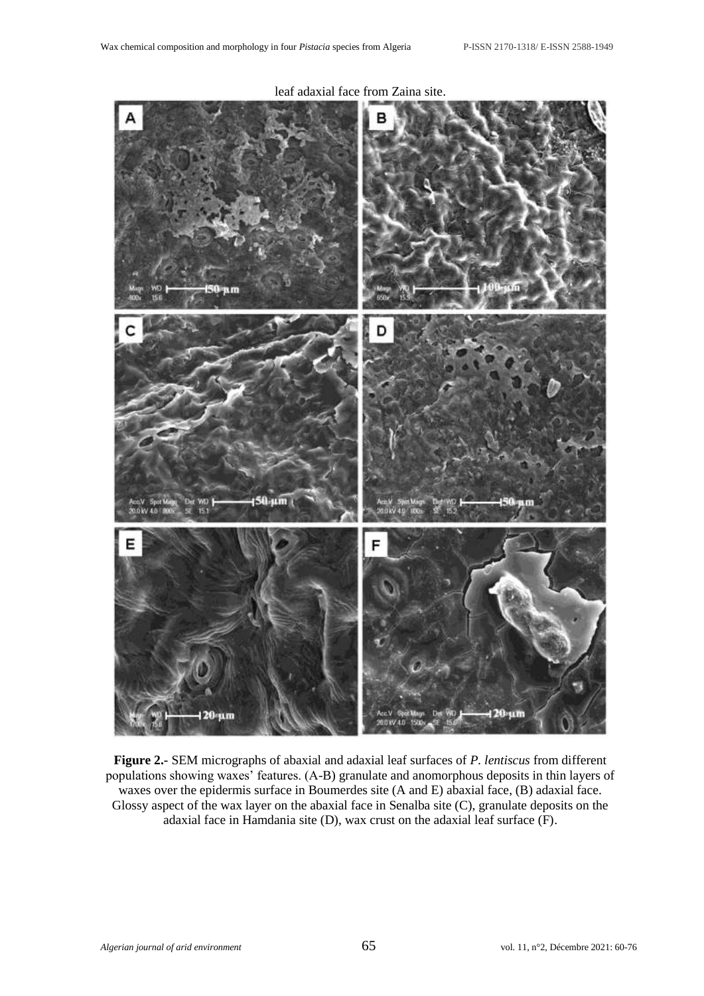

leaf adaxial face from Zaina site.

**Figure 2.-** SEM micrographs of abaxial and adaxial leaf surfaces of *P. lentiscus* from different populations showing waxes' features. (A-B) granulate and anomorphous deposits in thin layers of waxes over the epidermis surface in Boumerdes site (A and E) abaxial face, (B) adaxial face. Glossy aspect of the wax layer on the abaxial face in Senalba site (C), granulate deposits on the adaxial face in Hamdania site (D), wax crust on the adaxial leaf surface (F).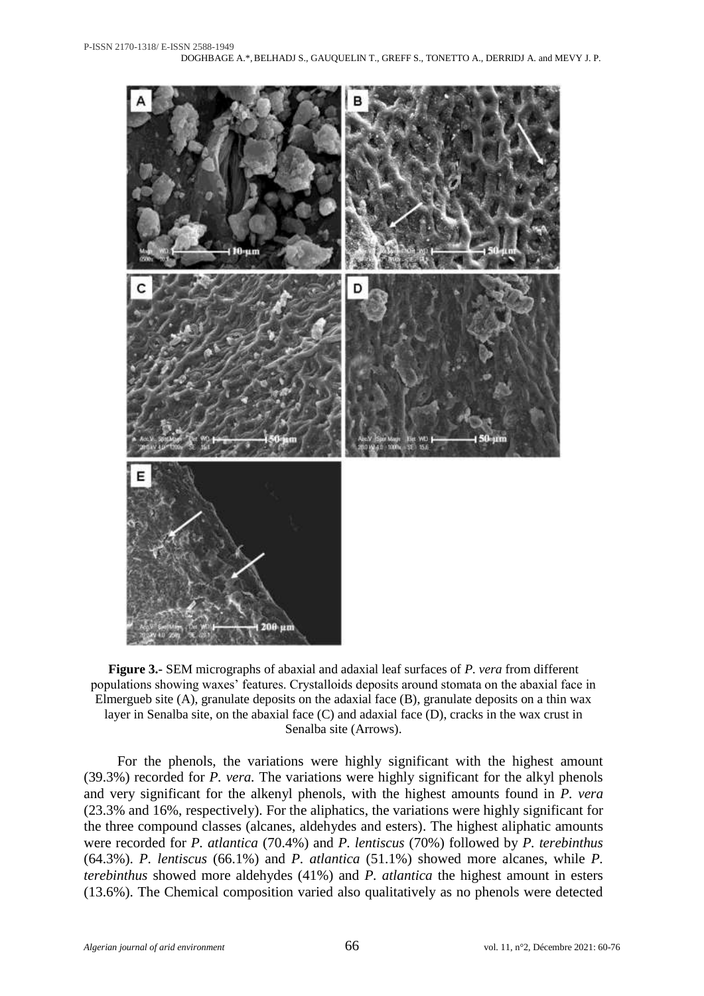

**Figure 3.-** SEM micrographs of abaxial and adaxial leaf surfaces of *P. vera* from different populations showing waxes' features. Crystalloids deposits around stomata on the abaxial face in Elmergueb site (A), granulate deposits on the adaxial face (B), granulate deposits on a thin wax layer in Senalba site, on the abaxial face (C) and adaxial face (D), cracks in the wax crust in Senalba site (Arrows).

For the phenols, the variations were highly significant with the highest amount (39.3%) recorded for *P. vera.* The variations were highly significant for the alkyl phenols and very significant for the alkenyl phenols, with the highest amounts found in *P. vera* (23.3% and 16%, respectively). For the aliphatics, the variations were highly significant for the three compound classes (alcanes, aldehydes and esters). The highest aliphatic amounts were recorded for *P. atlantica* (70.4%) and *P. lentiscus* (70%) followed by *P. terebinthus* (64.3%). *P. lentiscus* (66.1%) and *P. atlantica* (51.1%) showed more alcanes, while *P. terebinthus* showed more aldehydes (41%) and *P. atlantica* the highest amount in esters (13.6%). The Chemical composition varied also qualitatively as no phenols were detected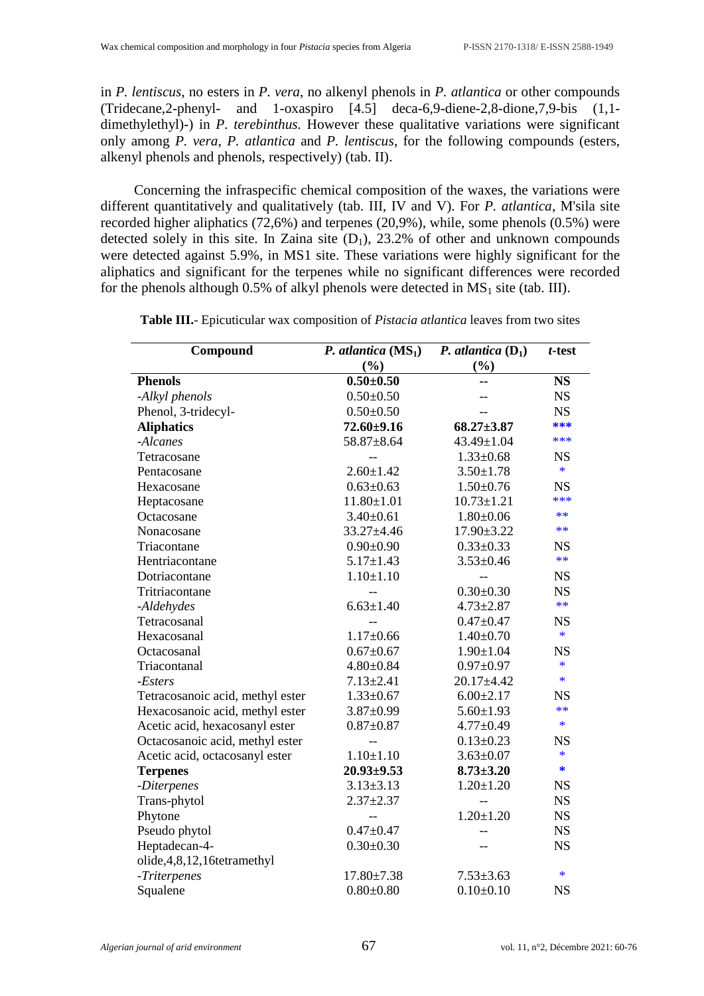in *P. lentiscus*, no esters in *P. vera*, no alkenyl phenols in *P. atlantica* or other compounds (Tridecane,2-phenyl- and 1-oxaspiro [4.5] deca-6,9-diene-2,8-dione,7,9-bis (1,1 dimethylethyl)-) in *P. terebinthus.* However these qualitative variations were significant only among *P. vera*, *P. atlantica* and *P. lentiscus*, for the following compounds (esters, alkenyl phenols and phenols, respectively) (tab. II).

Concerning the infraspecific chemical composition of the waxes, the variations were different quantitatively and qualitatively (tab. III, IV and V). For *P. atlantica*, M'sila site recorded higher aliphatics  $(72,6\%)$  and terpenes  $(20,9\%)$ , while, some phenols  $(0.5\%)$  were detected solely in this site. In Zaina site  $(D_1)$ , 23.2% of other and unknown compounds were detected against 5.9%, in MS1 site. These variations were highly significant for the aliphatics and significant for the terpenes while no significant differences were recorded for the phenols although 0.5% of alkyl phenols were detected in  $MS_1$  site (tab. III).

| Compound                         | P. atlantica $(MS_1)$ | <i>P.</i> atlantica $(D_1)$ | $t$ -test |  |
|----------------------------------|-----------------------|-----------------------------|-----------|--|
|                                  | (%)                   | (%)                         |           |  |
| <b>Phenols</b>                   | $0.50 + 0.50$         |                             | <b>NS</b> |  |
| -Alkyl phenols                   | $0.50 \pm 0.50$       |                             | <b>NS</b> |  |
| Phenol, 3-tridecyl-              | $0.50 \pm 0.50$       |                             | <b>NS</b> |  |
| <b>Aliphatics</b>                | $72.60 + 9.16$        | $68.27 \pm 3.87$            | ***       |  |
| -Alcanes                         | 58.87±8.64            | 43.49±1.04                  | ***       |  |
| Tetracosane                      |                       | $1.33 \pm 0.68$             | <b>NS</b> |  |
| Pentacosane                      | $2.60 \pm 1.42$       | $3.50 \pm 1.78$             | $\ast$    |  |
| Hexacosane                       | $0.63 \pm 0.63$       | $1.50 \pm 0.76$             | <b>NS</b> |  |
| Heptacosane                      | $11.80 \pm 1.01$      | $10.73 \pm 1.21$            | ***       |  |
| Octacosane                       | $3.40 \pm 0.61$       | $1.80 \pm 0.06$             | **        |  |
| Nonacosane                       | 33.27±4.46            | 17.90±3.22                  | **        |  |
| Triacontane                      | $0.90 \pm 0.90$       | $0.33 \pm 0.33$             | <b>NS</b> |  |
| Hentriacontane                   | $5.17 \pm 1.43$       | $3.53 \pm 0.46$             | $**$      |  |
| Dotriacontane                    | $1.10 \pm 1.10$       |                             | <b>NS</b> |  |
| Tritriacontane                   |                       | $0.30 + 0.30$               | <b>NS</b> |  |
| -Aldehydes                       | $6.63 \pm 1.40$       | $4.73 \pm 2.87$             | **        |  |
| Tetracosanal                     |                       | $0.47 + 0.47$               | <b>NS</b> |  |
| Hexacosanal                      | $1.17 \pm 0.66$       | $1.40 \pm 0.70$             | $\ast$    |  |
| Octacosanal                      | $0.67 + 0.67$         | $1.90 \pm 1.04$             | <b>NS</b> |  |
| Triacontanal                     | $4.80 \pm 0.84$       | $0.97 + 0.97$               | $\ast$    |  |
| -Esters                          | $7.13 \pm 2.41$       | $20.17 + 4.42$              | $\ast$    |  |
| Tetracosanoic acid, methyl ester | $1.33 \pm 0.67$       | $6.00 \pm 2.17$             | <b>NS</b> |  |
| Hexacosanoic acid, methyl ester  | $3.87 \pm 0.99$       | $5.60 \pm 1.93$             | **        |  |
| Acetic acid, hexacosanyl ester   | $0.87 + 0.87$         | $4.77 \pm 0.49$             | $\ast$    |  |
| Octacosanoic acid, methyl ester  | $-$                   | $0.13 \pm 0.23$             | <b>NS</b> |  |
| Acetic acid, octacosanyl ester   | $1.10 \pm 1.10$       | $3.63 \pm 0.07$             | $\ast$    |  |
| <b>Terpenes</b>                  | $20.93 \pm 9.53$      | $8.73 \pm 3.20$             | $\ast$    |  |
| -Diterpenes                      | $3.13 \pm 3.13$       | $1.20 \pm 1.20$             | <b>NS</b> |  |
| Trans-phytol                     | $2.37 + 2.37$         | $\overline{a}$              | <b>NS</b> |  |
| Phytone                          | $-$                   | $1.20 \pm 1.20$             | <b>NS</b> |  |
| Pseudo phytol                    | $0.47 + 0.47$         |                             | <b>NS</b> |  |
| Heptadecan-4-                    | $0.30 \pm 0.30$       |                             | <b>NS</b> |  |
| olide, 4, 8, 12, 16tetramethyl   |                       |                             |           |  |
| -Triterpenes                     | $17.80 \pm 7.38$      | $7.53 \pm 3.63$             | *         |  |
| Squalene                         | $0.80 + 0.80$         | $0.10 \pm 0.10$             | <b>NS</b> |  |

**Table III.**- Epicuticular wax composition of *Pistacia atlantica* leaves from two sites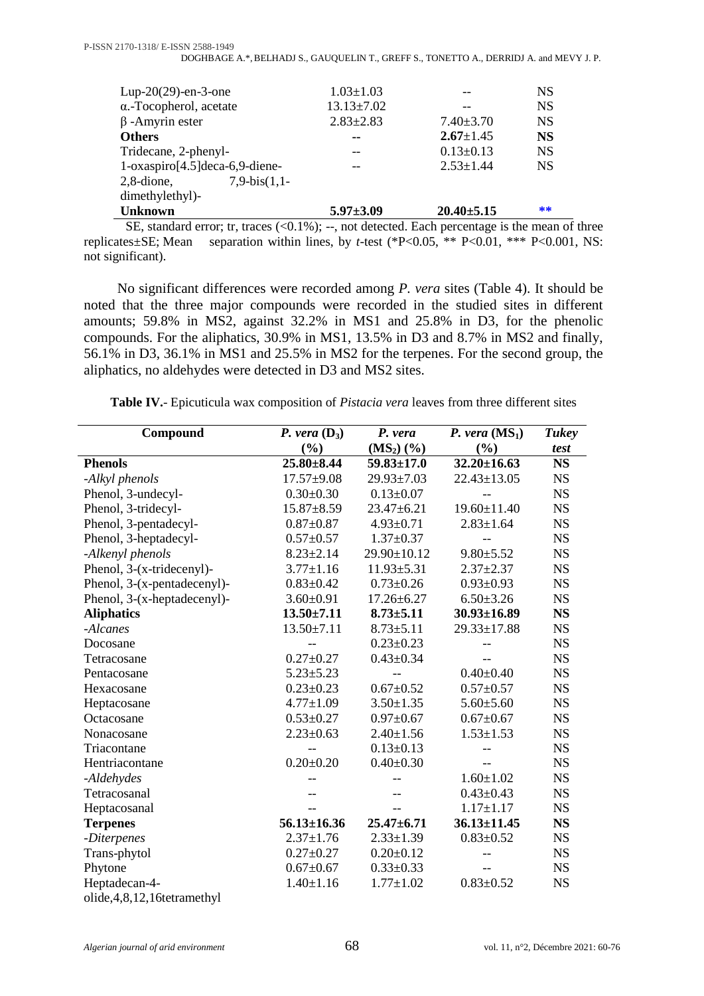| Lup-20 $(29)$ -en-3-one            | $1.03 \pm 1.03$  |                  | <b>NS</b> |
|------------------------------------|------------------|------------------|-----------|
| $\alpha$ .-Tocopherol, acetate     | $13.13 \pm 7.02$ |                  | <b>NS</b> |
| $\beta$ -Amyrin ester              | $2.83 \pm 2.83$  | $7.40 \pm 3.70$  | <b>NS</b> |
| <b>Others</b>                      | --               | $2.67 \pm 1.45$  | <b>NS</b> |
| Tridecane, 2-phenyl-               |                  | $0.13 \pm 0.13$  | <b>NS</b> |
|                                    |                  | $2.53 \pm 1.44$  | <b>NS</b> |
| $1$ -oxaspiro[4.5] deca-6,9-diene- |                  |                  |           |
| $7.9-bis(1.1-$<br>$2,8$ -dione,    |                  |                  |           |
| dimethylethyl)-                    |                  |                  |           |
| <b>Unknown</b>                     | $5.97 \pm 3.09$  | $20.40 \pm 5.15$ | **        |

SE, standard error; tr, traces (<0.1%); --, not detected. Each percentage is the mean of three replicates±SE; Mean separation within lines, by *t-*test (\*P<0.05, \*\* P<0.01, \*\*\* P<0.001, NS: not significant).

No significant differences were recorded among *P. vera* sites (Table 4). It should be noted that the three major compounds were recorded in the studied sites in different amounts; 59.8% in MS2, against 32.2% in MS1 and 25.8% in D3, for the phenolic compounds. For the aliphatics, 30.9% in MS1, 13.5% in D3 and 8.7% in MS2 and finally, 56.1% in D3, 36.1% in MS1 and 25.5% in MS2 for the terpenes. For the second group, the aliphatics, no aldehydes were detected in D3 and MS2 sites.

**Table IV.**- Epicuticula wax composition of *Pistacia vera* leaves from three different sites

| Compound                       | P. vera $(D_3)$   | P. vera                  | <i>P.</i> vera $(MS_1)$ | <b>Tukey</b> |
|--------------------------------|-------------------|--------------------------|-------------------------|--------------|
|                                | (%)               | $(MS_2)$ $(\frac{6}{6})$ | (%)                     | test         |
| <b>Phenols</b>                 | $25.80 + 8.44$    | $59.83 \pm 17.0$         | $32.20 \pm 16.63$       | <b>NS</b>    |
| -Alkyl phenols                 | $17.57 + 9.08$    | $29.93 \pm 7.03$         | $22.43 \pm 13.05$       | <b>NS</b>    |
| Phenol, 3-undecyl-             | $0.30 \pm 0.30$   | $0.13 \pm 0.07$          |                         | <b>NS</b>    |
| Phenol, 3-tridecyl-            | $15.87 + 8.59$    | $23.47 \pm 6.21$         | $19.60 \pm 11.40$       | <b>NS</b>    |
| Phenol, 3-pentadecyl-          | $0.87 + 0.87$     | $4.93 \pm 0.71$          | $2.83 \pm 1.64$         | <b>NS</b>    |
| Phenol, 3-heptadecyl-          | $0.57 \pm 0.57$   | $1.37 \pm 0.37$          |                         | <b>NS</b>    |
| -Alkenyl phenols               | $8.23 \pm 2.14$   | 29.90±10.12              | $9.80 \pm 5.52$         | <b>NS</b>    |
| Phenol, 3-(x-tridecenyl)-      | $3.77 \pm 1.16$   | $11.93 \pm 5.31$         | $2.37 \pm 2.37$         | <b>NS</b>    |
| Phenol, 3-(x-pentadecenyl)-    | $0.83 \pm 0.42$   | $0.73 \pm 0.26$          | $0.93 \pm 0.93$         | <b>NS</b>    |
| Phenol, 3-(x-heptadecenyl)-    | $3.60 \pm 0.91$   | $17.26 \pm 6.27$         | $6.50 \pm 3.26$         | <b>NS</b>    |
| <b>Aliphatics</b>              | $13.50 \pm 7.11$  | $8.73 \pm 5.11$          | $30.93 \pm 16.89$       | <b>NS</b>    |
| -Alcanes                       | $13.50 \pm 7.11$  | $8.73 \pm 5.11$          | 29.33±17.88             | <b>NS</b>    |
| Docosane                       |                   | $0.23 \pm 0.23$          |                         | <b>NS</b>    |
| Tetracosane                    | $0.27 \pm 0.27$   | $0.43 \pm 0.34$          |                         | <b>NS</b>    |
| Pentacosane                    | $5.23 \pm 5.23$   |                          | $0.40 \pm 0.40$         | <b>NS</b>    |
| Hexacosane                     | $0.23 \pm 0.23$   | $0.67 \pm 0.52$          | $0.57 \pm 0.57$         | <b>NS</b>    |
| Heptacosane                    | $4.77 \pm 1.09$   | $3.50 \pm 1.35$          | $5.60 \pm 5.60$         | <b>NS</b>    |
| Octacosane                     | $0.53 \pm 0.27$   | $0.97 \pm 0.67$          | $0.67 \pm 0.67$         | <b>NS</b>    |
| Nonacosane                     | $2.23 \pm 0.63$   | $2.40 \pm 1.56$          | $1.53 \pm 1.53$         | <b>NS</b>    |
| Triacontane                    |                   | $0.13 \pm 0.13$          |                         | <b>NS</b>    |
| Hentriacontane                 | $0.20 \pm 0.20$   | $0.40 \pm 0.30$          |                         | <b>NS</b>    |
| -Aldehydes                     |                   |                          | $1.60 \pm 1.02$         | <b>NS</b>    |
| Tetracosanal                   |                   |                          | $0.43 \pm 0.43$         | <b>NS</b>    |
| Heptacosanal                   |                   |                          | $1.17 \pm 1.17$         | <b>NS</b>    |
| <b>Terpenes</b>                | $56.13 \pm 16.36$ | $25.47 + 6.71$           | $36.13 \pm 11.45$       | <b>NS</b>    |
| -Diterpenes                    | $2.37 \pm 1.76$   | $2.33 \pm 1.39$          | $0.83 \pm 0.52$         | <b>NS</b>    |
| Trans-phytol                   | $0.27 \pm 0.27$   | $0.20 \pm 0.12$          |                         | <b>NS</b>    |
| Phytone                        | $0.67 \pm 0.67$   | $0.33 \pm 0.33$          |                         | <b>NS</b>    |
| Heptadecan-4-                  | $1.40 \pm 1.16$   | $1.77 \pm 1.02$          | $0.83 \pm 0.52$         | <b>NS</b>    |
| olide, 4, 8, 12, 16tetramethyl |                   |                          |                         |              |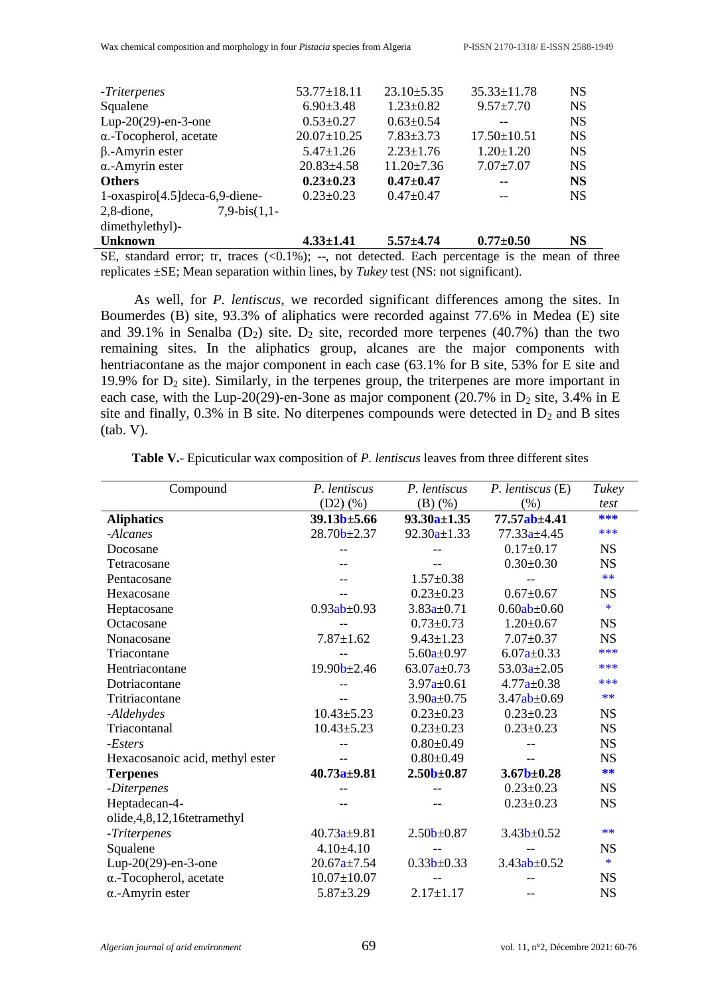| $\overline{AB}$ 11 $\overline{AB}$ $\overline{AB}$ 11 $\overline{BA}$ 11 $\overline{BA}$ 11 $\overline{BA}$ 11 $\overline{BA}$ 11 $\overline{BA}$ 11 $\overline{BA}$ 12 $\overline{AB}$ 12 $\overline{AB}$ 12 $\overline{AB}$ 12 $\overline{AB}$ 12 $\overline{AB}$ 12 $\overline{AB}$ 12 $\overline{AB}$ 12 $\overline{AB}$ 12 $\overline{AB}$ 12 $\overline{AB}$ |                   |                  |                   | $\mathcal{C}$ $\mathcal{A}$ |
|--------------------------------------------------------------------------------------------------------------------------------------------------------------------------------------------------------------------------------------------------------------------------------------------------------------------------------------------------------------------|-------------------|------------------|-------------------|-----------------------------|
| <b>Unknown</b>                                                                                                                                                                                                                                                                                                                                                     | $4.33 \pm 1.41$   | $5.57 + 4.74$    | $0.77 \pm 0.50$   | <b>NS</b>                   |
| dimethylethyl)-                                                                                                                                                                                                                                                                                                                                                    |                   |                  |                   |                             |
| $7,9-bis(1,1-$<br>$2,8$ -dione,                                                                                                                                                                                                                                                                                                                                    |                   |                  |                   |                             |
| $1$ -oxaspiro[4.5] deca-6,9-diene-                                                                                                                                                                                                                                                                                                                                 | $0.23 \pm 0.23$   | $0.47 \pm 0.47$  |                   | <b>NS</b>                   |
| <b>Others</b>                                                                                                                                                                                                                                                                                                                                                      | $0.23 \pm 0.23$   | $0.47 + 0.47$    | --                | <b>NS</b>                   |
| $\alpha$ -Amyrin ester                                                                                                                                                                                                                                                                                                                                             | $20.83 \pm 4.58$  | $11.20 \pm 7.36$ | $7.07 \pm 7.07$   | <b>NS</b>                   |
| $\beta$ .-Amyrin ester                                                                                                                                                                                                                                                                                                                                             | $5.47 \pm 1.26$   | $2.23 \pm 1.76$  | $1.20 \pm 1.20$   | <b>NS</b>                   |
| $\alpha$ .-Tocopherol, acetate                                                                                                                                                                                                                                                                                                                                     | $20.07 \pm 10.25$ | $7.83 \pm 3.73$  | $17.50 \pm 10.51$ | <b>NS</b>                   |
| Lup-20 $(29)$ -en-3-one                                                                                                                                                                                                                                                                                                                                            | $0.53 \pm 0.27$   | $0.63 \pm 0.54$  |                   | <b>NS</b>                   |
| Squalene                                                                                                                                                                                                                                                                                                                                                           | $6.90 \pm 3.48$   | $1.23 \pm 0.82$  | $9.57 \pm 7.70$   | <b>NS</b>                   |
| -Triterpenes                                                                                                                                                                                                                                                                                                                                                       | $53.77 \pm 18.11$ | $23.10 \pm 5.35$ | $35.33 \pm 11.78$ | <b>NS</b>                   |
|                                                                                                                                                                                                                                                                                                                                                                    |                   |                  |                   |                             |

SE, standard error; tr, traces  $(\le 0.1\%)$ ; --, not detected. Each percentage is the mean of three replicates ±SE; Mean separation within lines, by *Tukey* test (NS: not significant).

As well, for *P. lentiscus*, we recorded significant differences among the sites. In Boumerdes (B) site, 93.3% of aliphatics were recorded against 77.6% in Medea (E) site and 39.1% in Senalba ( $D_2$ ) site.  $D_2$  site, recorded more terpenes (40.7%) than the two remaining sites. In the aliphatics group, alcanes are the major components with hentriacontane as the major component in each case (63.1% for B site, 53% for E site and 19.9% for  $D_2$  site). Similarly, in the terpenes group, the triterpenes are more important in each case, with the Lup-20(29)-en-3one as major component (20.7% in  $D_2$  site, 3.4% in E site and finally,  $0.3\%$  in B site. No diterpenes compounds were detected in  $D_2$  and B sites (tab. V).

| P. lentiscus             | P. lentiscus      | $P.$ lentiscus $(E)$ | <b>Tukey</b> |
|--------------------------|-------------------|----------------------|--------------|
| (D2)(%)                  | $(B)$ $(\%)$      | (% )                 | test         |
| 39.13 <sub>b±</sub> 5.66 | $93.30a \pm 1.35$ | 77.57ab±4.41         | ***          |
| $28.70b \pm 2.37$        | $92.30a \pm 1.33$ | $77.33a \pm 4.45$    | ***          |
| --                       |                   | $0.17 \pm 0.17$      | <b>NS</b>    |
|                          |                   | $0.30 \pm 0.30$      | <b>NS</b>    |
|                          | $1.57 \pm 0.38$   |                      | $**$         |
|                          | $0.23 \pm 0.23$   | $0.67 \pm 0.67$      | <b>NS</b>    |
| $0.93ab \pm 0.93$        | $3.83a \pm 0.71$  | $0.60ab \pm 0.60$    | $\ast$       |
|                          | $0.73 \pm 0.73$   | $1.20 \pm 0.67$      | <b>NS</b>    |
| $7.87 \pm 1.62$          | $9.43 \pm 1.23$   | $7.07 \pm 0.37$      | <b>NS</b>    |
|                          | $5.60a \pm 0.97$  | $6.07a \pm 0.33$     | ***          |
| $19.90b \pm 2.46$        | $63.07a \pm 0.73$ | $53.03a \pm 2.05$    | ***          |
|                          | $3.97a \pm 0.61$  | $4.77a \pm 0.38$     | ***          |
|                          | $3.90a \pm 0.75$  | $3.47ab \pm 0.69$    | $**$         |
| $10.43 \pm 5.23$         | $0.23 \pm 0.23$   | $0.23 \pm 0.23$      | <b>NS</b>    |
| $10.43 \pm 5.23$         | $0.23 \pm 0.23$   | $0.23 \pm 0.23$      | <b>NS</b>    |
|                          | $0.80 \pm 0.49$   |                      | <b>NS</b>    |
|                          | $0.80 \pm 0.49$   |                      | <b>NS</b>    |
| $40.73a \pm 9.81$        | $2.50b \pm 0.87$  | $3.67b + 0.28$       | **           |
|                          |                   | $0.23 \pm 0.23$      | <b>NS</b>    |
|                          |                   | $0.23 \pm 0.23$      | <b>NS</b>    |
|                          |                   |                      |              |
| $40.73a \pm 9.81$        | $2.50b \pm 0.87$  | $3.43b \pm 0.52$     | $**$         |
| $4.10\pm4.10$            |                   |                      | <b>NS</b>    |
| $20.67a \pm 7.54$        | $0.33b \pm 0.33$  | $3.43ab \pm 0.52$    | $\ast$       |
| $10.07 \pm 10.07$        |                   |                      | <b>NS</b>    |
| $5.87 \pm 3.29$          | $2.17 \pm 1.17$   |                      | <b>NS</b>    |
|                          |                   |                      |              |

**Table V.**- Epicuticular wax composition of *P. lentiscus* leaves from three different sites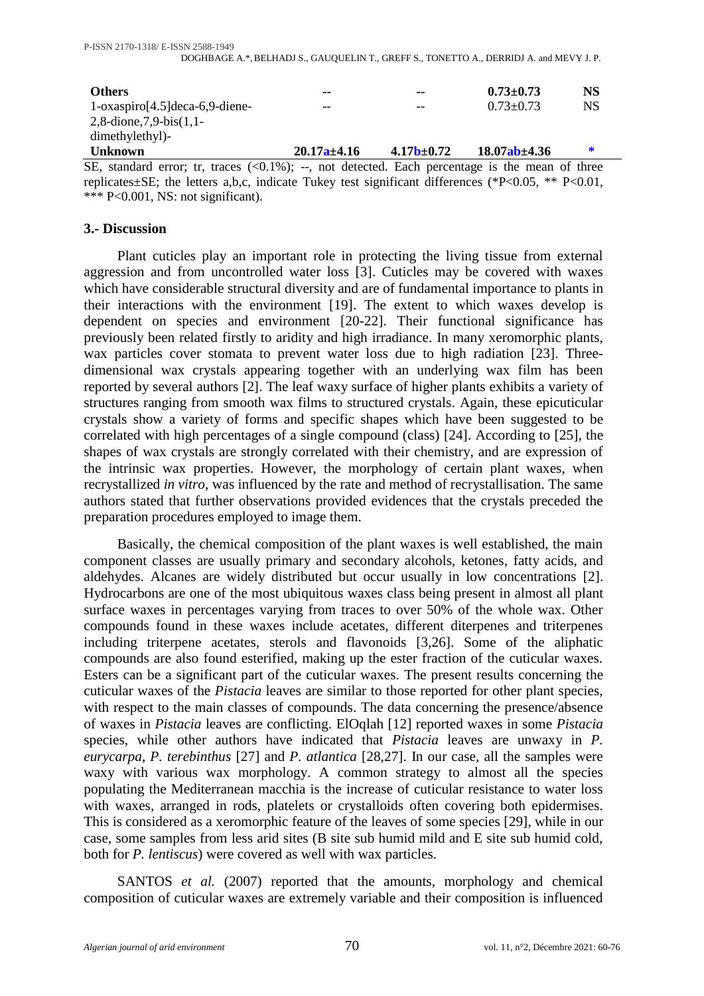| <b>Others</b>                                                                                                               | --                | --                      | $0.73 \pm 0.73$    | <b>NS</b> |
|-----------------------------------------------------------------------------------------------------------------------------|-------------------|-------------------------|--------------------|-----------|
| $1$ -oxaspiro $[4.5]$ deca-6,9-diene-                                                                                       | --                |                         | $0.73 \pm 0.73$    | <b>NS</b> |
| 2,8-dione, 7,9-bis $(1,1-$                                                                                                  |                   |                         |                    |           |
| dimethylethyl)-                                                                                                             |                   |                         |                    |           |
| <b>Unknown</b>                                                                                                              | $20.17a \pm 4.16$ | 4.17 <sub>b±</sub> 0.72 | $18.07ab \pm 4.36$ | ∗         |
| SE, standard error; tr, traces $(<0.1\%)$ ; --, not detected. Each percentage is the mean of three                          |                   |                         |                    |           |
| $\text{realicotoc}_\text{0} + \text{SE}$ the letters a b c indicate Tukey test significant differences (*D\codos ** D\codo) |                   |                         |                    |           |

replicates±SE; the letters a,b,c, indicate Tukey test significant differences (\*P<0.05, \*\* P<0.01, \*\*\* P<0.001, NS: not significant).

# **3.- Discussion**

Plant cuticles play an important role in protecting the living tissue from external aggression and from uncontrolled water loss [3]. Cuticles may be covered with waxes which have considerable structural diversity and are of fundamental importance to plants in their interactions with the environment [19]. The extent to which waxes develop is dependent on species and environment [20-22]. Their functional significance has previously been related firstly to aridity and high irradiance. In many xeromorphic plants, wax particles cover stomata to prevent water loss due to high radiation [23]. Threedimensional wax crystals appearing together with an underlying wax film has been reported by several authors [2]. The leaf waxy surface of higher plants exhibits a variety of structures ranging from smooth wax films to structured crystals. Again, these epicuticular crystals show a variety of forms and specific shapes which have been suggested to be correlated with high percentages of a single compound (class) [24]. According to [25], the shapes of wax crystals are strongly correlated with their chemistry, and are expression of the intrinsic wax properties. However, the morphology of certain plant waxes, when recrystallized *in vitro*, was influenced by the rate and method of recrystallisation. The same authors stated that further observations provided evidences that the crystals preceded the preparation procedures employed to image them.

Basically, the chemical composition of the plant waxes is well established, the main component classes are usually primary and secondary alcohols, ketones, fatty acids, and aldehydes. Alcanes are widely distributed but occur usually in low concentrations [2]. Hydrocarbons are one of the most ubiquitous waxes class being present in almost all plant surface waxes in percentages varying from traces to over 50% of the whole wax. Other compounds found in these waxes include acetates, different diterpenes and triterpenes including triterpene acetates, sterols and flavonoids [3,26]. Some of the aliphatic compounds are also found esterified, making up the ester fraction of the cuticular waxes. Esters can be a significant part of the cuticular waxes. The present results concerning the cuticular waxes of the *Pistacia* leaves are similar to those reported for other plant species, with respect to the main classes of compounds. The data concerning the presence/absence of waxes in *Pistacia* leaves are conflicting. ElOqlah [12] reported waxes in some *Pistacia* species, while other authors have indicated that *Pistacia* leaves are unwaxy in *P. eurycarpa*, *P. terebinthus* [27] and *P. atlantica* [28,27]. In our case, all the samples were waxy with various wax morphology. A common strategy to almost all the species populating the Mediterranean macchia is the increase of cuticular resistance to water loss with waxes, arranged in rods, platelets or crystalloids often covering both epidermises. This is considered as a xeromorphic feature of the leaves of some species [29], while in our case, some samples from less arid sites (B site sub humid mild and E site sub humid cold, both for *P. lentiscus*) were covered as well with wax particles.

SANTOS *et al.* (2007) reported that the amounts, morphology and chemical composition of cuticular waxes are extremely variable and their composition is influenced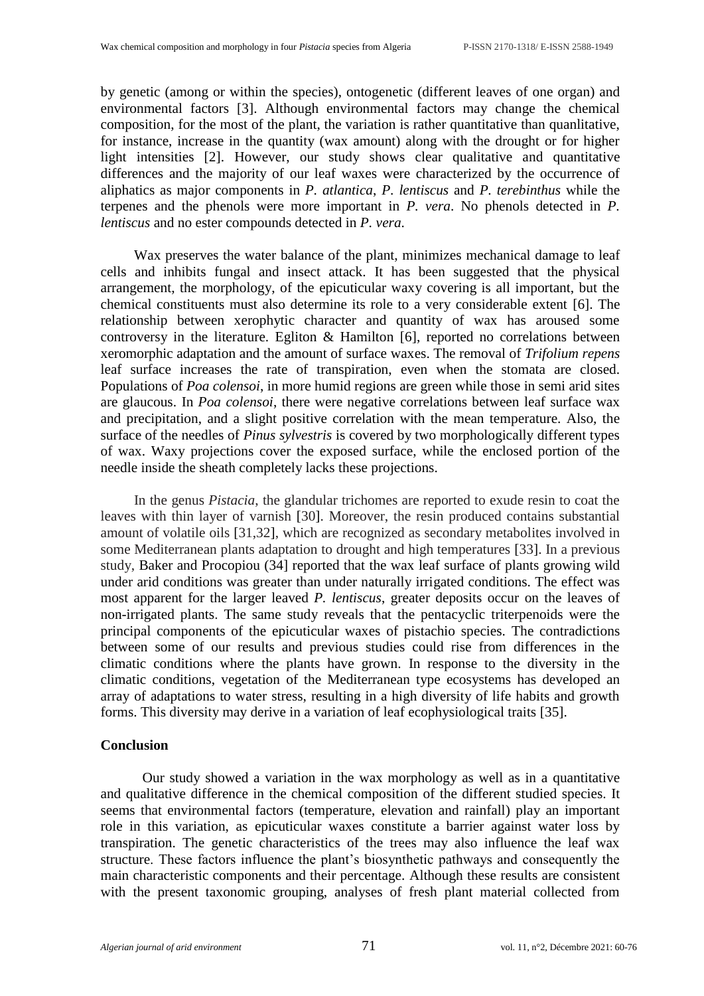by genetic (among or within the species), ontogenetic (different leaves of one organ) and environmental factors [3]. Although environmental factors may change the chemical composition, for the most of the plant, the variation is rather quantitative than quanlitative, for instance, increase in the quantity (wax amount) along with the drought or for higher light intensities [2]. However, our study shows clear qualitative and quantitative differences and the majority of our leaf waxes were characterized by the occurrence of aliphatics as major components in *P. atlantica*, *P. lentiscus* and *P. terebinthus* while the terpenes and the phenols were more important in *P. vera*. No phenols detected in *P. lentiscus* and no ester compounds detected in *P. vera*.

Wax preserves the water balance of the plant, minimizes mechanical damage to leaf cells and inhibits fungal and insect attack. It has been suggested that the physical arrangement, the morphology, of the epicuticular waxy covering is all important, but the chemical constituents must also determine its role to a very considerable extent [6]. The relationship between xerophytic character and quantity of wax has aroused some controversy in the literature. Egliton & Hamilton [6], reported no correlations between xeromorphic adaptation and the amount of surface waxes. The removal of *Trifolium repens* leaf surface increases the rate of transpiration, even when the stomata are closed. Populations of *Poa colensoi*, in more humid regions are green while those in semi arid sites are glaucous. In *Poa colensoi*, there were negative correlations between leaf surface wax and precipitation, and a slight positive correlation with the mean temperature. Also, the surface of the needles of *Pinus sylvestris* is covered by two morphologically different types of wax. Waxy projections cover the exposed surface, while the enclosed portion of the needle inside the sheath completely lacks these projections.

In the genus *Pistacia*, the glandular trichomes are reported to exude resin to coat the leaves with thin layer of varnish [30]. Moreover, the resin produced contains substantial amount of volatile oils [31,32], which are recognized as secondary metabolites involved in some Mediterranean plants adaptation to drought and high temperatures [33]. In a previous study, Baker and Procopiou (34] reported that the wax leaf surface of plants growing wild under arid conditions was greater than under naturally irrigated conditions. The effect was most apparent for the larger leaved *P. lentiscus*, greater deposits occur on the leaves of non-irrigated plants. The same study reveals that the pentacyclic triterpenoids were the principal components of the epicuticular waxes of pistachio species. The contradictions between some of our results and previous studies could rise from differences in the climatic conditions where the plants have grown. In response to the diversity in the climatic conditions, vegetation of the Mediterranean type ecosystems has developed an array of adaptations to water stress, resulting in a high diversity of life habits and growth forms. This diversity may derive in a variation of leaf ecophysiological traits [35].

#### **Conclusion**

Our study showed a variation in the wax morphology as well as in a quantitative and qualitative difference in the chemical composition of the different studied species. It seems that environmental factors (temperature, elevation and rainfall) play an important role in this variation, as epicuticular waxes constitute a barrier against water loss by transpiration. The genetic characteristics of the trees may also influence the leaf wax structure. These factors influence the plant's biosynthetic pathways and consequently the main characteristic components and their percentage. Although these results are consistent with the present taxonomic grouping, analyses of fresh plant material collected from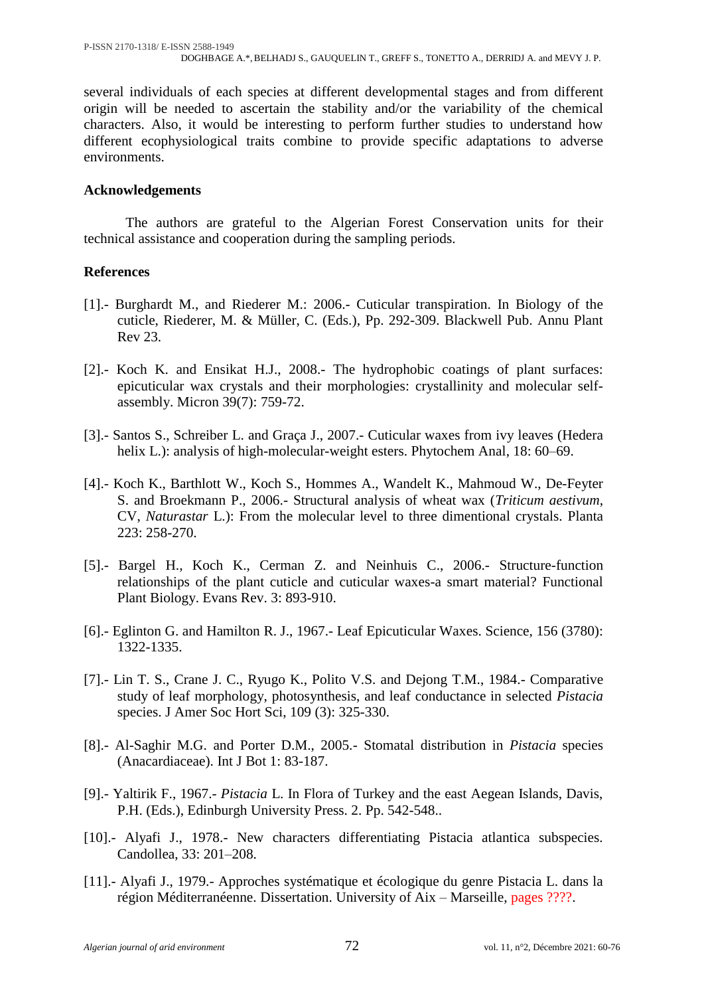several individuals of each species at different developmental stages and from different origin will be needed to ascertain the stability and/or the variability of the chemical characters. Also, it would be interesting to perform further studies to understand how different ecophysiological traits combine to provide specific adaptations to adverse environments.

# **Acknowledgements**

The authors are grateful to the Algerian Forest Conservation units for their technical assistance and cooperation during the sampling periods.

# **References**

- [1].- Burghardt M., and Riederer M.: 2006.- Cuticular transpiration. In Biology of the cuticle, Riederer, M. & Müller, C. (Eds.), Pp. 292-309. Blackwell Pub. Annu Plant Rev 23.
- [2].- Koch K. and Ensikat H.J., 2008.- The hydrophobic coatings of plant surfaces: epicuticular wax crystals and their morphologies: crystallinity and molecular selfassembly. Micron 39(7): 759-72.
- [3].- Santos S., Schreiber L. and Graça J., 2007.- Cuticular waxes from ivy leaves (Hedera helix L.): analysis of high-molecular-weight esters. Phytochem Anal, 18: 60–69.
- [4].- Koch K., Barthlott W., Koch S., Hommes A., Wandelt K., Mahmoud W., De-Feyter S. and Broekmann P., 2006.- Structural analysis of wheat wax (*Triticum aestivum*, CV, *Naturastar* L.): From the molecular level to three dimentional crystals. Planta 223: 258-270.
- [5].- Bargel H., Koch K., Cerman Z. and Neinhuis C., 2006.- Structure-function relationships of the plant cuticle and cuticular waxes-a smart material? Functional Plant Biology. Evans Rev. 3: 893-910.
- [6].- Eglinton G. and Hamilton R. J., 1967.- Leaf Epicuticular Waxes. Science*,* 156 (3780): 1322-1335.
- [7].- Lin T. S., Crane J. C., Ryugo K., Polito V.S. and Dejong T.M., 1984.- Comparative study of leaf morphology, photosynthesis, and leaf conductance in selected *Pistacia* species. J Amer Soc Hort Sci, 109 (3): 325-330.
- [8].- Al-Saghir M.G. and Porter D.M., 2005.- Stomatal distribution in *Pistacia* species (Anacardiaceae). Int J Bot 1: 83-187.
- [9].- Yaltirik F., 1967.- *Pistacia* L. In Flora of Turkey and the east Aegean Islands, Davis, P.H. (Eds.), Edinburgh University Press. 2. Pp. 542-548..
- [10].- Alyafi J., 1978.- New characters differentiating Pistacia atlantica subspecies. Candollea, 33: 201–208.
- [11].- Alyafi J., 1979.- Approches systématique et écologique du genre Pistacia L. dans la région Méditerranéenne. Dissertation. University of Aix – Marseille, pages ????.

*Algerian journal of arid environment* 72 vol. 11, n°2, Décembre 2021: 60-76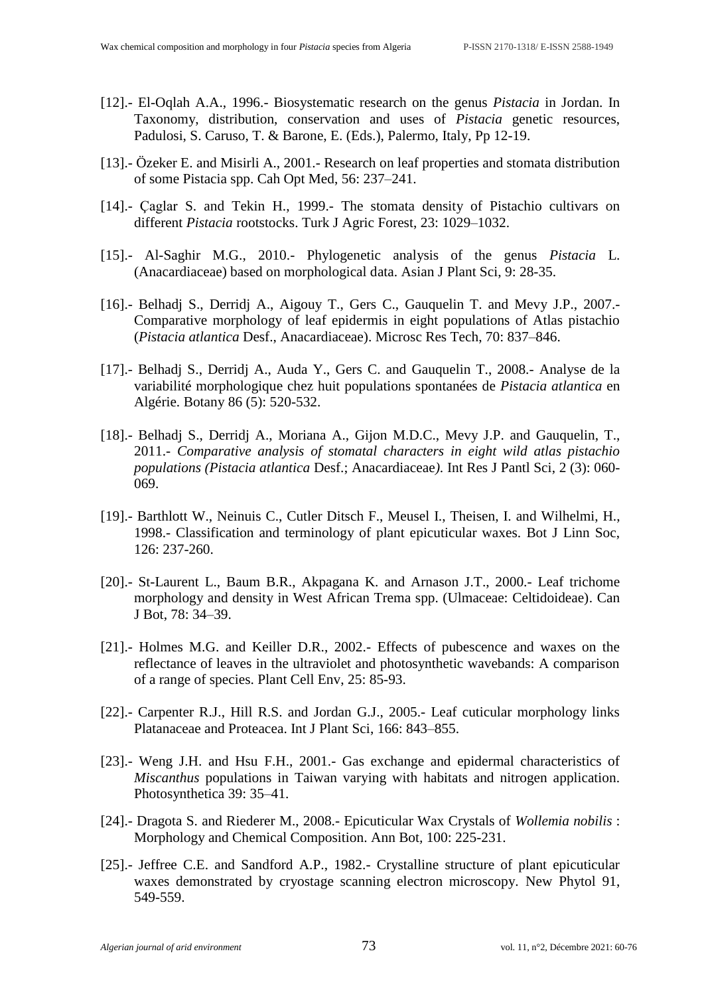- [12].- El-Oqlah A.A., 1996.- Biosystematic research on the genus *Pistacia* in Jordan. In Taxonomy, distribution, conservation and uses of *Pistacia* genetic resources, Padulosi, S. Caruso, T. & Barone, E. (Eds.), Palermo, Italy, Pp 12-19.
- [13].- Özeker E. and Misirli A., 2001.- Research on leaf properties and stomata distribution of some Pistacia spp. Cah Opt Med, 56: 237–241.
- [14].- Caglar S. and Tekin H., 1999.- The stomata density of Pistachio cultivars on different *Pistacia* rootstocks. Turk J Agric Forest, 23: 1029–1032.
- [15].- Al-Saghir M.G., 2010.- Phylogenetic analysis of the genus *Pistacia* L. (Anacardiaceae) based on morphological data. Asian J Plant Sci, 9: 28-35.
- [16].- Belhadj S., Derridj A., Aigouy T., Gers C., Gauquelin T. and Mevy J.P., 2007.- Comparative morphology of leaf epidermis in eight populations of Atlas pistachio (*Pistacia atlantica* Desf., Anacardiaceae). Microsc Res Tech, 70: 837–846.
- [17].- Belhadj S., Derridj A., Auda Y., Gers C. and Gauquelin T., 2008.- Analyse de la variabilité morphologique chez huit populations spontanées de *Pistacia atlantica* en Algérie. Botany 86 (5): 520-532.
- [18].- Belhadj S., Derridj A., Moriana A., Gijon M.D.C., Mevy J.P. and Gauquelin, T., 2011.- *Comparative analysis of stomatal characters in eight wild atlas pistachio populations (Pistacia atlantica* Desf.; Anacardiaceae*)*. Int Res J Pantl Sci, 2 (3): 060- 069.
- [19].- Barthlott W., Neinuis C., Cutler Ditsch F., Meusel I., Theisen, I. and Wilhelmi, H., 1998.- Classification and terminology of plant epicuticular waxes. Bot J Linn Soc, 126: 237-260.
- [20].- St-Laurent L., Baum B.R., Akpagana K. and Arnason J.T., 2000.- Leaf trichome morphology and density in West African Trema spp. (Ulmaceae: Celtidoideae). Can J Bot, 78: 34–39.
- [21].- Holmes M.G. and Keiller D.R., 2002.- Effects of pubescence and waxes on the reflectance of leaves in the ultraviolet and photosynthetic wavebands: A comparison of a range of species. Plant Cell Env, 25: 85-93.
- [22].- Carpenter R.J., Hill R.S. and Jordan G.J., 2005.- Leaf cuticular morphology links Platanaceae and Proteacea. Int J Plant Sci, 166: 843–855.
- [23].- Weng J.H. and Hsu F.H., 2001.- Gas exchange and epidermal characteristics of *Miscanthus* populations in Taiwan varying with habitats and nitrogen application. Photosynthetica 39: 35–41.
- [24].- Dragota S. and Riederer M., 2008.- Epicuticular Wax Crystals of *Wollemia nobilis* : Morphology and Chemical Composition. Ann Bot*,* 100: 225-231.
- [25].- Jeffree C.E. and Sandford A.P., 1982.- Crystalline structure of plant epicuticular waxes demonstrated by cryostage scanning electron microscopy. New Phytol 91, 549-559.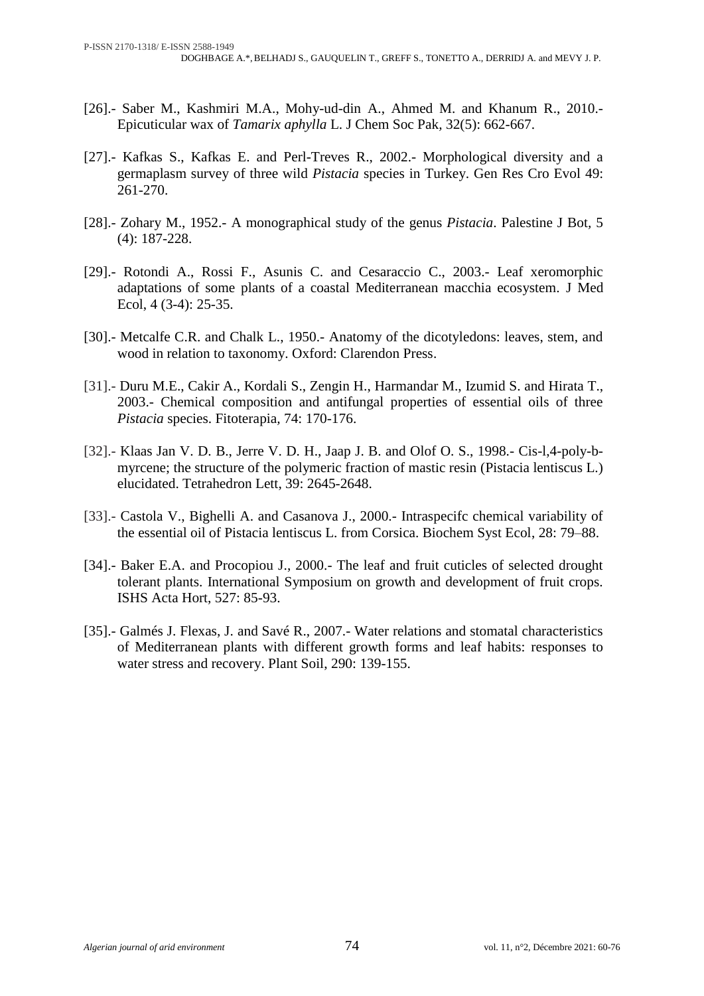- [26].- Saber M., Kashmiri M.A., Mohy-ud-din A., Ahmed M. and Khanum R., 2010.- Epicuticular wax of *Tamarix aphylla* L. J Chem Soc Pak*,* 32(5): 662-667.
- [27].- Kafkas S., Kafkas E. and Perl-Treves R., 2002.- Morphological diversity and a germaplasm survey of three wild *Pistacia* species in Turkey. Gen Res Cro Evol 49: 261-270.
- [28].- Zohary M., 1952.- A monographical study of the genus *Pistacia*. Palestine J Bot*,* 5 (4): 187-228.
- [29].- Rotondi A., Rossi F., Asunis C. and Cesaraccio C., 2003.- Leaf xeromorphic adaptations of some plants of a coastal Mediterranean macchia ecosystem. J Med Ecol, 4 (3-4): 25-35.
- [30].- Metcalfe C.R. and Chalk L., 1950.- Anatomy of the dicotyledons: leaves, stem, and wood in relation to taxonomy. Oxford: Clarendon Press.
- [31].- Duru M.E., Cakir A., Kordali S., Zengin H., Harmandar M., Izumid S. and Hirata T., 2003.- Chemical composition and antifungal properties of essential oils of three *Pistacia* species. Fitoterapia*,* 74: 170-176.
- [32].- Klaas Jan V. D. B., Jerre V. D. H., Jaap J. B. and Olof O. S., 1998.- Cis-l,4-poly-bmyrcene; the structure of the polymeric fraction of mastic resin (Pistacia lentiscus L.) elucidated. Tetrahedron Lett, 39: 2645-2648.
- [33].- Castola V., Bighelli A. and Casanova J., 2000.- Intraspecifc chemical variability of the essential oil of Pistacia lentiscus L. from Corsica. Biochem Syst Ecol, 28: 79–88.
- [34].- [Baker](http://www.cabdirect.org/search.html?q=au%3A%22Baker%2C+E.+A.%22) E.A. and [Procopiou](http://www.cabdirect.org/search.html?q=au%3A%22Procopiou%2C+J.%22) J., 2000.- The leaf and fruit cuticles of selected drought tolerant plants. International Symposium on growth and development of fruit crops. ISHS Acta Hort, 527: 85-93.
- [35].- Galmés J. Flexas, J. and Savé R., 2007.- Water relations and stomatal characteristics of Mediterranean plants with different growth forms and leaf habits: responses to water stress and recovery. Plant Soil, 290: 139-155.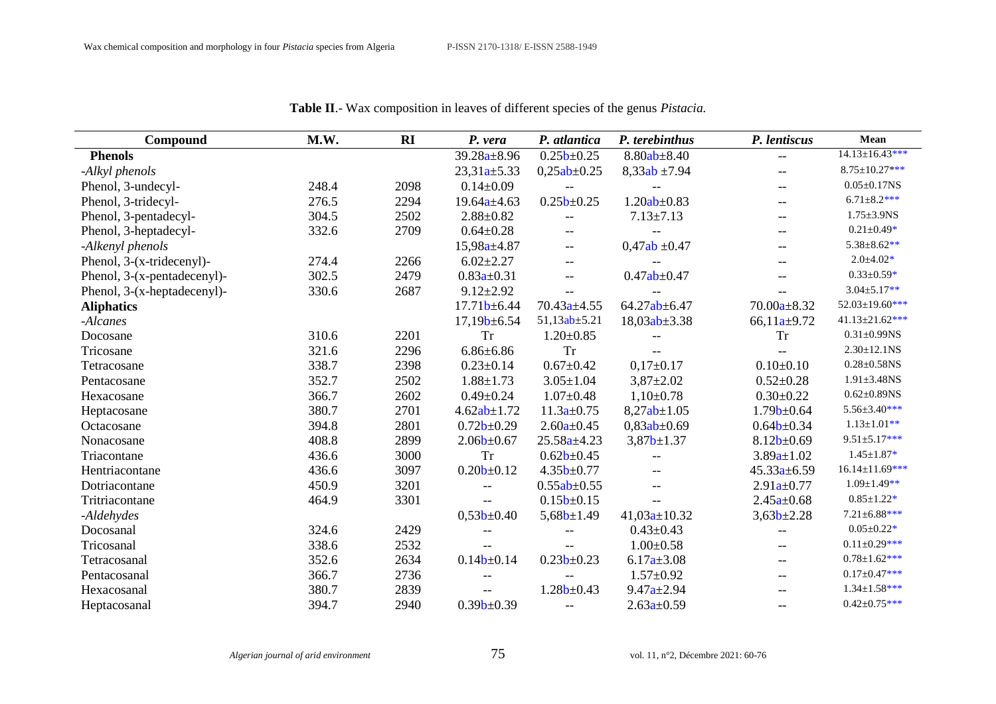| Compound                    | M.W.  | RI   | P. vera                  | P. atlantica             | P. terebinthus           | P. lentiscus             | Mean                  |
|-----------------------------|-------|------|--------------------------|--------------------------|--------------------------|--------------------------|-----------------------|
| <b>Phenols</b>              |       |      | $39.28a \pm 8.96$        | $0.25b + 0.25$           | $8.80ab \pm 8.40$        | $\overline{\phantom{m}}$ | $14.13 \pm 16.43$ *** |
| -Alkyl phenols              |       |      | $23,31a+5.33$            | $0,25ab \pm 0.25$        | $8,33ab \pm 7.94$        | $-$                      | $8.75 \pm 10.27$ ***  |
| Phenol, 3-undecyl-          | 248.4 | 2098 | $0.14 \pm 0.09$          | $\overline{\phantom{m}}$ | $-$                      | $-$                      | $0.05 \pm 0.17$ NS    |
| Phenol, 3-tridecyl-         | 276.5 | 2294 | $19.64a \pm 4.63$        | $0.25b + 0.25$           | $1.20ab \pm 0.83$        | $-$                      | $6.71 \pm 8.2$ ***    |
| Phenol, 3-pentadecyl-       | 304.5 | 2502 | $2.88 \pm 0.82$          | --                       | $7.13 \pm 7.13$          | $\qquad \qquad -$        | $1.75 \pm 3.9$ NS     |
| Phenol, 3-heptadecyl-       | 332.6 | 2709 | $0.64 \pm 0.28$          | $- -$                    |                          | $-$                      | $0.21 \pm 0.49*$      |
| -Alkenyl phenols            |       |      | $15,98a \pm 4.87$        | $-\,-$                   | $0,47ab \pm 0.47$        | --                       | $5.38 \pm 8.62**$     |
| Phenol, 3-(x-tridecenyl)-   | 274.4 | 2266 | $6.02 \pm 2.27$          | $\overline{\phantom{m}}$ | --                       | $-$                      | $2.0 \pm 4.02*$       |
| Phenol, 3-(x-pentadecenyl)- | 302.5 | 2479 | $0.83a \pm 0.31$         | $-$                      | $0.47ab \pm 0.47$        |                          | $0.33 \pm 0.59*$      |
| Phenol, 3-(x-heptadecenyl)- | 330.6 | 2687 | $9.12 \pm 2.92$          |                          |                          | $-$                      | $3.04 \pm 5.17**$     |
| <b>Aliphatics</b>           |       |      | $17.71b \pm 6.44$        | $70.43a \pm 4.55$        | $64.27ab \pm 6.47$       | $70.00a \pm 8.32$        | $52.03 \pm 19.60$ *** |
| -Alcanes                    |       |      | $17,19b \pm 6.54$        | $51,13ab \pm 5.21$       | $18,03ab \pm 3.38$       | $66,11a \pm 9.72$        | $41.13 \pm 21.62$ *** |
| Docosane                    | 310.6 | 2201 | <b>Tr</b>                | $1.20 \pm 0.85$          | $-$                      | <b>Tr</b>                | $0.31 \pm 0.99$ NS    |
| Tricosane                   | 321.6 | 2296 | $6.86 \pm 6.86$          | <b>Tr</b>                | $\overline{\phantom{m}}$ |                          | $2.30 \pm 12.1$ NS    |
| Tetracosane                 | 338.7 | 2398 | $0.23 \pm 0.14$          | $0.67 \pm 0.42$          | $0,17\pm0.17$            | $0.10 \pm 0.10$          | $0.28 \pm 0.58$ NS    |
| Pentacosane                 | 352.7 | 2502 | $1.88 \pm 1.73$          | $3.05 \pm 1.04$          | $3,87 \pm 2.02$          | $0.52 \pm 0.28$          | $1.91 \pm 3.48$ NS    |
| Hexacosane                  | 366.7 | 2602 | $0.49 \pm 0.24$          | $1.07 \pm 0.48$          | $1,10\pm0.78$            | $0.30 \pm 0.22$          | $0.62 \pm 0.89$ NS    |
| Heptacosane                 | 380.7 | 2701 | $4.62ab \pm 1.72$        | $11.3a \pm 0.75$         | $8,27ab \pm 1.05$        | 1.79 <sub>b±</sub> 0.64  | 5.56±3.40***          |
| Octacosane                  | 394.8 | 2801 | $0.72b \pm 0.29$         | $2.60a \pm 0.45$         | $0,83ab \pm 0.69$        | $0.64b+0.34$             | $1.13 \pm 1.01**$     |
| Nonacosane                  | 408.8 | 2899 | $2.06b \pm 0.67$         | $25.58a \pm 4.23$        | $3,87b+1.37$             | $8.12b \pm 0.69$         | $9.51 \pm 5.17$ ***   |
| Triacontane                 | 436.6 | 3000 | <b>Tr</b>                | $0.62b+0.45$             | $- -$                    | $3.89a \pm 1.02$         | $1.45 \pm 1.87*$      |
| Hentriacontane              | 436.6 | 3097 | $0.20b \pm 0.12$         | $4.35b \pm 0.77$         | $- -$                    | $45.33a \pm 6.59$        | $16.14 \pm 11.69$ *** |
| Dotriacontane               | 450.9 | 3201 |                          | $0.55ab \pm 0.55$        | $\overline{\phantom{m}}$ | $2.91a \pm 0.77$         | $1.09 \pm 1.49**$     |
| Tritriacontane              | 464.9 | 3301 | $\overline{\phantom{m}}$ | $0.15b \pm 0.15$         | $-$                      | $2.45a \pm 0.68$         | $0.85 \pm 1.22*$      |
| -Aldehydes                  |       |      | $0,53b+0.40$             | $5,68b \pm 1.49$         | $41,03a \pm 10.32$       | $3,63b+2.28$             | $7.21 \pm 6.88$ ***   |
| Docosanal                   | 324.6 | 2429 | $-\,-$                   | --                       | $0.43 \pm 0.43$          | --                       | $0.05 \pm 0.22*$      |
| Tricosanal                  | 338.6 | 2532 | $\overline{\phantom{a}}$ |                          | $1.00 \pm 0.58$          | $-$                      | $0.11 \pm 0.29$ ***   |
| Tetracosanal                | 352.6 | 2634 | 0.14 <sub>b±</sub> 0.14  | $0.23b \pm 0.23$         | $6.17a \pm 3.08$         | $-$                      | $0.78 \pm 1.62$ ***   |
| Pentacosanal                | 366.7 | 2736 |                          |                          | $1.57 \pm 0.92$          | $-$                      | $0.17 \pm 0.47$ ***   |
| Hexacosanal                 | 380.7 | 2839 | $-\,-$                   | 1.28 <sub>b±</sub> 0.43  | $9.47a \pm 2.94$         |                          | $1.34 \pm 1.58$ ***   |
| Heptacosanal                | 394.7 | 2940 | $0.39b \pm 0.39$         | $\overline{\phantom{m}}$ | $2.63a \pm 0.59$         | $-$                      | $0.42 \pm 0.75***$    |

**Table II**.- Wax composition in leaves of different species of the genus *Pistacia.*